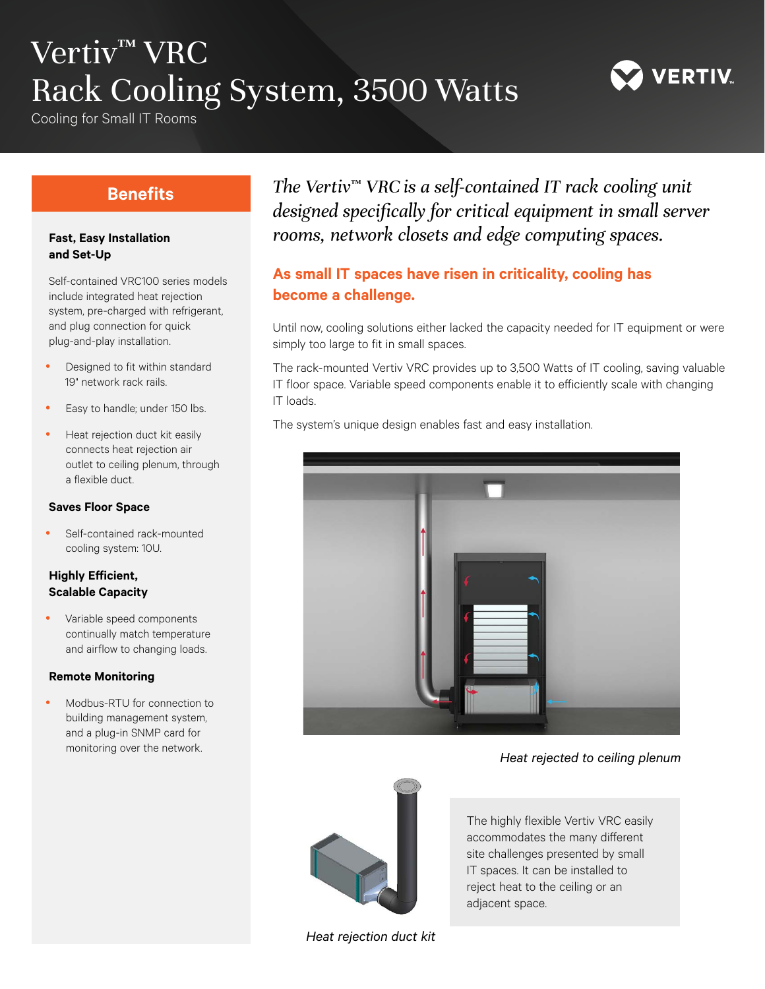# Vertiv<sup>™</sup> VRC Rack Cooling System, 3500 Watts

Cooling for Small IT Rooms



## **Benefits**

#### **Fast, Easy Installation and Set-Up**

Self-contained VRC100 series models include integrated heat rejection system, pre-charged with refrigerant, and plug connection for quick plug-and-play installation.

- Designed to fit within standard 19" network rack rails.
- Easy to handle; under 150 lbs.
- Heat rejection duct kit easily connects heat rejection air outlet to ceiling plenum, through a flexible duct.

#### **Saves Floor Space**

• Self-contained rack-mounted cooling system: 10U.

#### **Highly Efficient, Scalable Capacity**

Variable speed components continually match temperature and airflow to changing loads.

#### **Remote Monitoring**

Modbus-RTU for connection to building management system, and a plug-in SNMP card for monitoring over the network.

*The Vertiv*™ *VRC is a self-contained IT rack cooling unit designed specifically for critical equipment in small server rooms, network closets and edge computing spaces.*

### **As small IT spaces have risen in criticality, cooling has become a challenge.**

Until now, cooling solutions either lacked the capacity needed for IT equipment or were simply too large to fit in small spaces.

The rack-mounted Vertiv VRC provides up to 3,500 Watts of IT cooling, saving valuable IT floor space. Variable speed components enable it to efficiently scale with changing IT loads.

The system's unique design enables fast and easy installation.



#### *Heat rejected to ceiling plenum*



The highly flexible Vertiv VRC easily accommodates the many different site challenges presented by small IT spaces. It can be installed to reject heat to the ceiling or an adjacent space.

*Heat rejection duct kit*